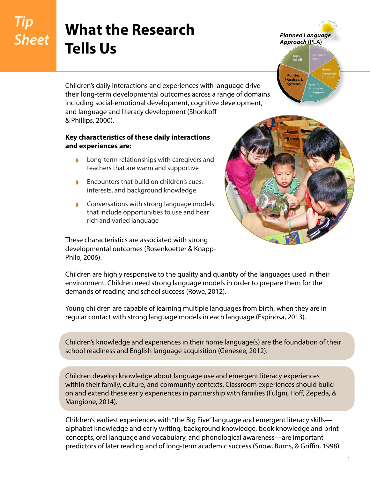## *Tip Sheet*

## **What the Research Tells Us**

**Planned Language** Approach (PLA)



Children's daily interactions and experiences with language drive their long-term developmental outcomes across a range of domains including social-emotional development, cognitive development, and language and literacy development (Shonkoff & Phillips, 2000).

## **Key characteristics of these daily interactions and experiences are:**

- ◗ Long-term relationships with caregivers and teachers that are warm and supportive
- ◗ Encounters that build on children's cues, interests, and background knowledge
- ◗ Conversations with strong language models that include opportunities to use and hear rich and varied language

These characteristics are associated with strong developmental outcomes (Rosenkoetter & Knapp-Philo, 2006).



Children are highly responsive to the quality and quantity of the languages used in their environment. Children need strong language models in order to prepare them for the demands of reading and school success (Rowe, 2012).

Young children are capable of learning multiple languages from birth, when they are in regular contact with strong language models in each language (Espinosa, 2013).

Children's knowledge and experiences in their home language(s) are the foundation of their school readiness and English language acquisition (Genesee, 2012).

Children develop knowledge about language use and emergent literacy experiences within their family, culture, and community contexts. Classroom experiences should build on and extend these early experiences in partnership with families (Fulgni, Hoff, Zepeda, & Mangione, 2014).

Children's earliest experiences with "the Big Five" language and emergent literacy skills alphabet knowledge and early writing, background knowledge, book knowledge and print concepts, oral language and vocabulary, and phonological awareness—are important predictors of later reading and of long-term academic success (Snow, Burns, & Griffin, 1998).